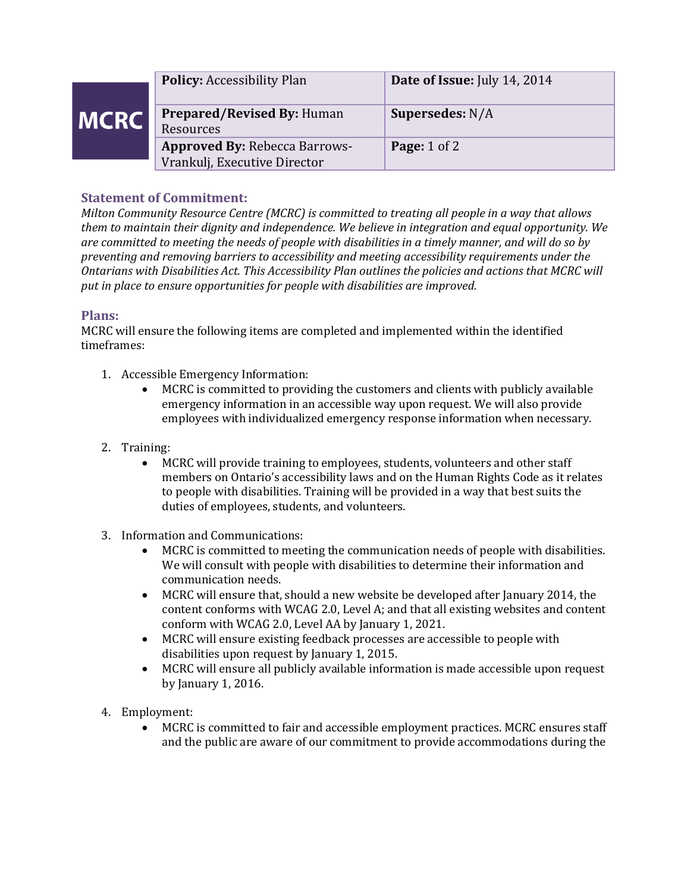|             | <b>Policy: Accessibility Plan</b>                                    | Date of Issue: July 14, 2014 |
|-------------|----------------------------------------------------------------------|------------------------------|
| <b>MCRC</b> | <b>Prepared/Revised By: Human</b><br>Resources                       | Supersedes: $N/A$            |
|             | <b>Approved By: Rebecca Barrows-</b><br>Vrankulj, Executive Director | <b>Page:</b> $1$ of $2$      |

## **Statement of Commitment:**

*Milton Community Resource Centre (MCRC) is committed to treating all people in a way that allows them to maintain their dignity and independence. We believe in integration and equal opportunity. We are committed to meeting the needs of people with disabilities in a timely manner, and will do so by preventing and removing barriers to accessibility and meeting accessibility requirements under the Ontarians with Disabilities Act. This Accessibility Plan outlines the policies and actions that MCRC will put in place to ensure opportunities for people with disabilities are improved.* 

## **Plans:**

MCRC will ensure the following items are completed and implemented within the identified timeframes:

- 1. Accessible Emergency Information:
	- MCRC is committed to providing the customers and clients with publicly available emergency information in an accessible way upon request. We will also provide employees with individualized emergency response information when necessary.
- 2. Training:
	- MCRC will provide training to employees, students, volunteers and other staff members on Ontario's accessibility laws and on the Human Rights Code as it relates to people with disabilities. Training will be provided in a way that best suits the duties of employees, students, and volunteers.
- 3. Information and Communications:
	- MCRC is committed to meeting the communication needs of people with disabilities. We will consult with people with disabilities to determine their information and communication needs.
	- MCRC will ensure that, should a new website be developed after January 2014, the content conforms with WCAG 2.0, Level A; and that all existing websites and content conform with WCAG 2.0, Level AA by January 1, 2021.
	- MCRC will ensure existing feedback processes are accessible to people with disabilities upon request by January 1, 2015.
	- MCRC will ensure all publicly available information is made accessible upon request by January 1, 2016.
- 4. Employment:
	- MCRC is committed to fair and accessible employment practices. MCRC ensures staff and the public are aware of our commitment to provide accommodations during the